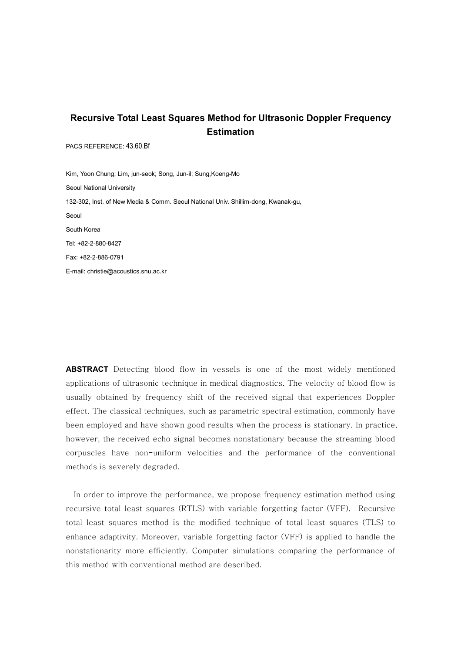# **Recursive Total Least Squares Method for Ultrasonic Doppler Frequency Estimation**

PACS REFERENCE: 43.60.Bf

Kim, Yoon Chung; Lim, jun-seok; Song, Jun-il; Sung,Koeng-Mo Seoul National University 132-302, Inst. of New Media & Comm. Seoul National Univ. Shillim-dong, Kwanak-gu, Seoul South Korea Tel: +82-2-880-8427 Fax: +82-2-886-0791 E-mail: christie@acoustics.snu.ac.kr

**ABSTRACT** Detecting blood flow in vessels is one of the most widely mentioned applications of ultrasonic technique in medical diagnostics. The velocity of blood flow is usually obtained by frequency shift of the received signal that experiences Doppler effect. The classical techniques, such as parametric spectral estimation, commonly have been employed and have shown good results when the process is stationary. In practice, however, the received echo signal becomes nonstationary because the streaming blood corpuscles have non-uniform velocities and the performance of the conventional methods is severely degraded.

In order to improve the performance, we propose frequency estimation method using recursive total least squares (RTLS) with variable forgetting factor (VFF). Recursive total least squares method is the modified technique of total least squares (TLS) to enhance adaptivity. Moreover, variable forgetting factor (VFF) is applied to handle the nonstationarity more efficiently. Computer simulations comparing the performance of this method with conventional method are described.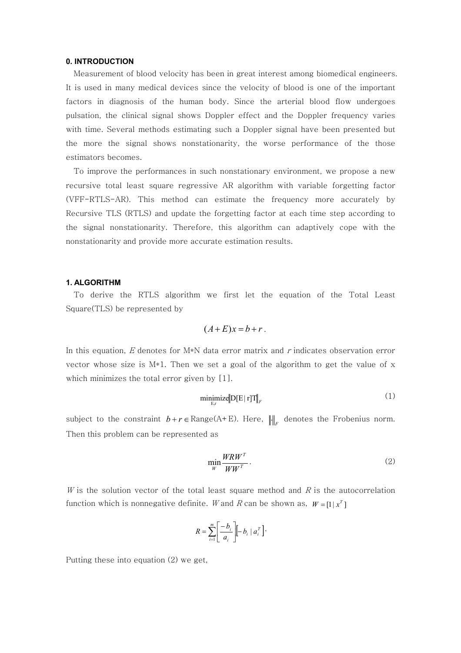## **0. INTRODUCTION**

Measurement of blood velocity has been in great interest among biomedical engineers. It is used in many medical devices since the velocity of blood is one of the important factors in diagnosis of the human body. Since the arterial blood flow undergoes pulsation, the clinical signal shows Doppler effect and the Doppler frequency varies with time. Several methods estimating such a Doppler signal have been presented but the more the signal shows nonstationarity, the worse performance of the those estimators becomes.

To improve the performances in such nonstationary environment, we propose a new recursive total least square regressive AR algorithm with variable forgetting factor (VFF-RTLS-AR). This method can estimate the frequency more accurately by Recursive TLS (RTLS) and update the forgetting factor at each time step according to the signal nonstationarity. Therefore, this algorithm can adaptively cope with the nonstationarity and provide more accurate estimation results.

#### **1. ALGORITHM**

To derive the RTLS algorithm we first let the equation of the Total Least Square(TLS) be represented by

$$
(A+E)x = b+r.
$$

In this equation, E denotes for  $M*N$  data error matrix and r indicates observation error vector whose size is  $M*1$ . Then we set a goal of the algorithm to get the value of x which minimizes the total error given by [1].

$$
\underset{\mathbf{E},\mathbf{r}}{\text{minimize}} \|\mathbf{D}[\mathbf{E} \mid \mathbf{r}]\mathbf{T}\|_{F} \tag{1}
$$

subject to the constraint  $b+r \in \text{Range}(A+E)$ . Here,  $\left\| \cdot \right\|_F$  denotes the Frobenius norm. Then this problem can be represented as

$$
\min_{W} \frac{WRW^{T}}{WW^{T}}.
$$
\n(2)

W is the solution vector of the total least square method and  $R$  is the autocorrelation function which is nonnegative definite. W and R can be shown as,  $W = \begin{bmatrix} 1 | x^T \end{bmatrix}$ 

$$
R = \sum_{i=1}^{m} \left[ \frac{-b_i}{a_i} \right] \left[ -b_i \mid a_i^T \right].
$$

Putting these into equation (2) we get,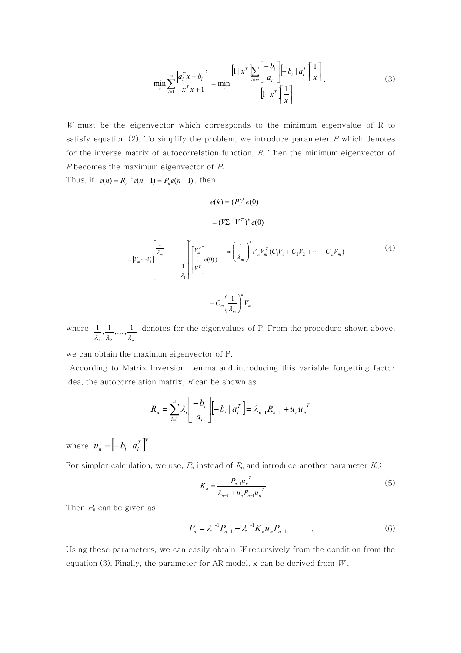$$
\min_{x} \sum_{i=1}^{m} \frac{\left| a_i^T x - b_i \right|^2}{x^T x + 1} = \min_{x} \frac{\left[ 1 \mid x^T \sum_{i=m} \left[ \frac{-b_i}{a_i} \right] \left[ -b_i \mid a_i^T \left[ \frac{1}{x} \right] \right]}{\left[ 1 \mid x^T \left[ \frac{1}{x} \right] \right]}.
$$
\n(3)

 $W$  must be the eigenvector which corresponds to the minimum eigenvalue of R to satisfy equation (2). To simplify the problem, we introduce parameter  $P$  which denotes for the inverse matrix of autocorrelation function,  $R$ . Then the minimum eigenvector of R becomes the maximum eigenvector of P.

Thus, if  $e(n) = R_n^{-1} e(n-1) = P_n e(n-1)$ , then

$$
e(k) = (P)^{k} e(0)
$$

$$
= (V\Sigma^{-1}V^{T})^{k} e(0)
$$

$$
= [V_m \cdots V_1] \begin{bmatrix} \frac{1}{\lambda_m} & & \\ & \ddots & \\ & & \frac{1}{\lambda_1} \end{bmatrix} \begin{bmatrix} V_m^T \\ \vdots \\ V_1^T \end{bmatrix} = C_m \left( \frac{1}{\lambda_m} \right)^k V_m V_m^T (C_1 V_1 + C_2 V_2 + \cdots + C_m V_m)
$$
(4)

where  $\lambda_1$ ,  $\lambda_2$ ,  $\ldots$ ,  $\lambda_m$  $\frac{1}{1}, \frac{1}{1}, \ldots, \frac{1}{1}$  $\frac{1}{2}$  $\frac{1}{\sqrt{1-\mu}}$  denotes for the eigenvalues of P. From the procedure shown above,

we can obtain the maximun eigenvector of P.

According to Matrix Inversion Lemma and introducing this variable forgetting factor idea, the autocorrelation matrix,  $R$  can be shown as

$$
R_{n} = \sum_{i=1}^{n} \lambda_{i} \left[ \frac{-b_{i}}{a_{i}} \right] \left[ -b_{i} \mid a_{i}^{T} \right] = \lambda_{n-1} R_{n-1} + u_{n} u_{n}^{T}
$$

where  $u_n = \left[ -b_i \mid a_i^T \right]^T$ .

For simpler calculation, we use,  $P_n$  instead of  $R_n$  and introduce another parameter  $K_n$ :

$$
K_n = \frac{P_{n-1}u_n^T}{\lambda_{n-1} + u_n P_{n-1}u_n^T}
$$
(5)

Then  $P_n$  can be given as

$$
P_n = \lambda^{-1} P_{n-1} - \lambda^{-1} K_n u_n P_{n-1} \tag{6}
$$

Using these parameters, we can easily obtain  $W$  recursively from the condition from the equation (3). Finally, the parameter for AR model,  $x$  can be derived from  $W$ .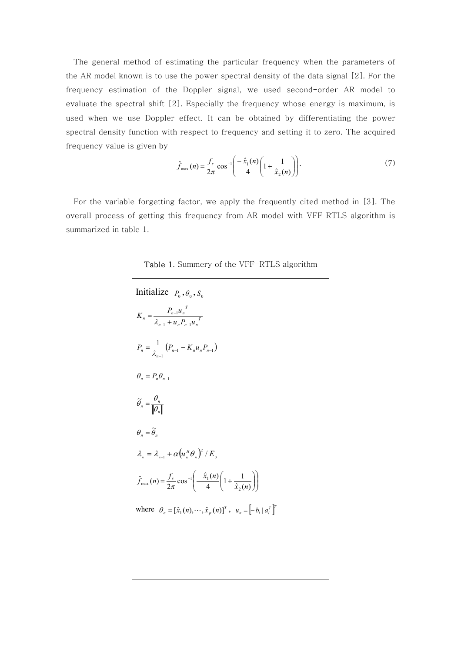The general method of estimating the particular frequency when the parameters of the AR model known is to use the power spectral density of the data signal [2]. For the frequency estimation of the Doppler signal, we used second-order AR model to evaluate the spectral shift [2]. Especially the frequency whose energy is maximum, is used when we use Doppler effect. It can be obtained by differentiating the power spectral density function with respect to frequency and setting it to zero. The acquired frequency value is given by

$$
\hat{f}_{\max}(n) = \frac{f_s}{2\pi} \cos^{-1} \left( \frac{-\hat{x}_1(n)}{4} \left( 1 + \frac{1}{\hat{x}_2(n)} \right) \right).
$$
 (7)

For the variable forgetting factor, we apply the frequently cited method in [3]. The overall process of getting this frequency from AR model with VFF RTLS algorithm is summarized in table 1.

Table 1. Summery of the VFF-RTLS algorithm

| Initialize $P_0$ , $\theta_0$ , $S_0$                                                                                                   |
|-----------------------------------------------------------------------------------------------------------------------------------------|
| $K_n = \frac{P_{n-1}u_n}{\lambda_{n-1} + u_n P_{n-1}u_n^T}$                                                                             |
| $P_n = \frac{1}{\lambda} \left( P_{n-1} - K_n u_n P_{n-1} \right)$                                                                      |
| $\theta_n = P_n \theta_{n-1}$                                                                                                           |
| $\widetilde{\theta}_n = \frac{\theta_n}{\ \theta_n\ }$                                                                                  |
| $\theta_n = \widetilde{\theta}_n$                                                                                                       |
| $\lambda_{n} = \lambda_{n+1} + \alpha (u_{n}^H \theta_{n})^2 / E_{n}$                                                                   |
| $\hat{f}_{\text{max}}(n) = \frac{f_s}{2\pi} \cos^{-1} \left( \frac{-\hat{x}_1(n)}{4} \left( 1 + \frac{1}{\hat{x}_2(n)} \right) \right)$ |
| where $\theta_n = [\hat{x}_1(n), \cdots, \hat{x}_p(n)]^T$ , $u_n = [-b_i   a_i^T]^T$                                                    |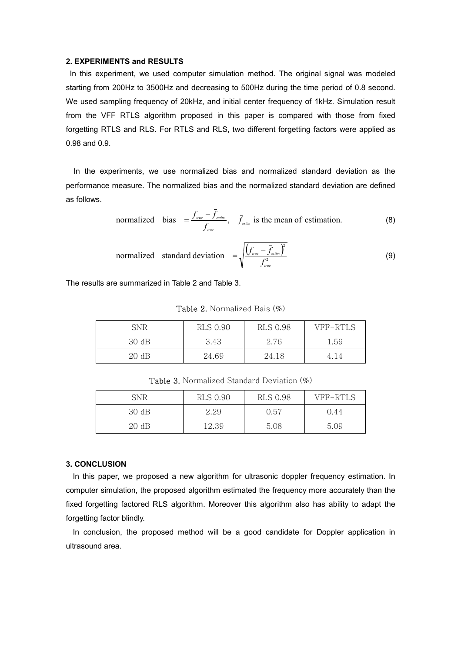## **2. EXPERIMENTS and RESULTS**

In this experiment, we used computer simulation method. The original signal was modeled starting from 200Hz to 3500Hz and decreasing to 500Hz during the time period of 0.8 second. We used sampling frequency of 20kHz, and initial center frequency of 1kHz. Simulation result from the VFF RTLS algorithm proposed in this paper is compared with those from fixed forgetting RTLS and RLS. For RTLS and RLS, two different forgetting factors were applied as 0.98 and 0.9.

In the experiments, we use normalized bias and normalized standard deviation as the performance measure. The normalized bias and the normalized standard deviation are defined as follows.

normalized bias 
$$
=\frac{f_{true} - \bar{f}_{estim}}{f_{true}}
$$
,  $\bar{f}_{estim}$  is the mean of estimation. (8)

normalized standard deviation 
$$
= \sqrt{\frac{\left(f_{\text{true}} - \bar{f}_{\text{estim}}\right)^2}{f_{\text{true}}^2}}
$$
 (9)

The results are summarized in Table 2 and Table 3.

| SNR   | RLS 0.90 | RLS 0.98 | VFF-RTLS |
|-------|----------|----------|----------|
| 30 dB | 3.43     | 2.76     | 1.59     |
| 20 dB | 24.69    | 24.18    | 4.14     |

Table 2. Normalized Bais (%)

Table 3. Normalized Standard Deviation (%)

| SNR   | <b>RLS 0.90</b> | <b>RLS 0.98</b> | VFF-RTLS |
|-------|-----------------|-----------------|----------|
| 30 dB | 2.29            | 0.57            | 0.44     |
| 20 dB | 12.39           | 5.08            | 5.09     |

### **3. CONCLUSION**

In this paper, we proposed a new algorithm for ultrasonic doppler frequency estimation. In computer simulation, the proposed algorithm estimated the frequency more accurately than the fixed forgetting factored RLS algorithm. Moreover this algorithm also has ability to adapt the forgetting factor blindly.

In conclusion, the proposed method will be a good candidate for Doppler application in ultrasound area.